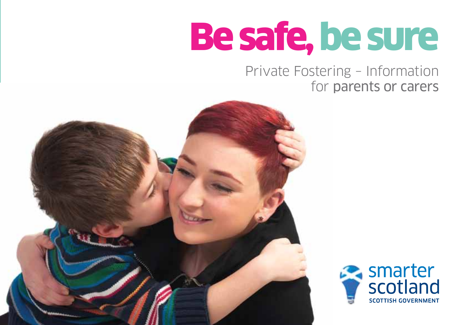# Be safe, be sure

# Private Fostering – Information for parents or carers



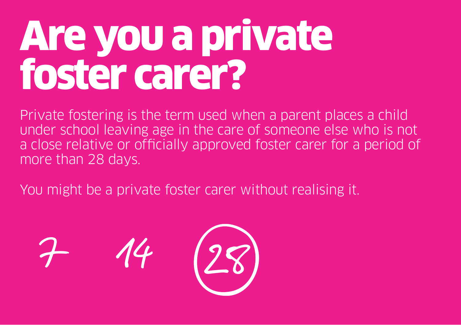# Areyou a private foster carer?

Private fostering is the term used when a parent places a child under school leaving age in the care of someone else who is not a close relative or officially approved foster carer for a period of more than 28 days.

You might be a private foster carer without realising it.

7 14 28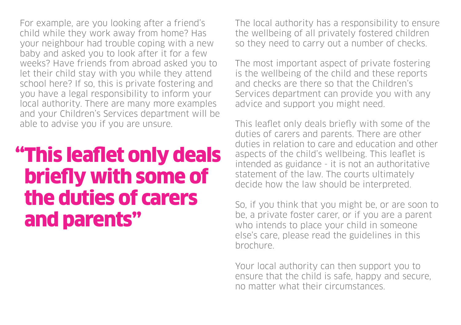For example, are you looking after a friend's child while they work away from home? Has your neighbour had trouble coping with a new baby and asked you to look after it for a few weeks? Have friends from abroad asked you to let their child stay with you while they attend school here? If so, this is private fostering and you have a legal responsibility to inform your local authority. There are many more examples and your Children's Services department will be able to advise you if you are unsure.

# "This leaflet only deals briefly with some of the duties of carers and parents"

The local authority has a responsibility to ensure the wellbeing of all privately fostered children so they need to carry out a number of checks.

The most important aspect of private fostering is the wellbeing of the child and these reports and checks are there so that the Children's Services department can provide you with any advice and support you might need.

This leaflet only deals briefly with some of the duties of carers and parents. There are other duties in relation to care and education and other aspects of the child's wellbeing. This leaflet is intended as guidance - it is not an authoritative statement of the law. The courts ultimately decide how the law should be interpreted.

So, if you think that you might be, or are soon to be, a private foster carer, or if you are a parent who intends to place your child in someone else's care, please read the guidelines in this brochure.

Your local authority can then support you to ensure that the child is safe, happy and secure, no matter what their circumstances.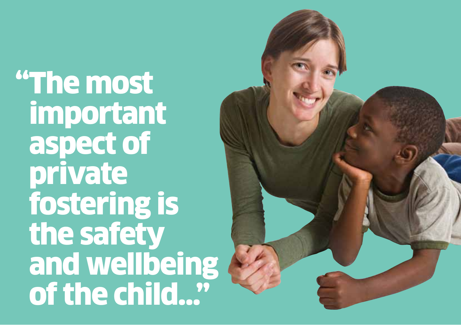"The most important aspect of private fostering is the safety and wellbeing of the child...

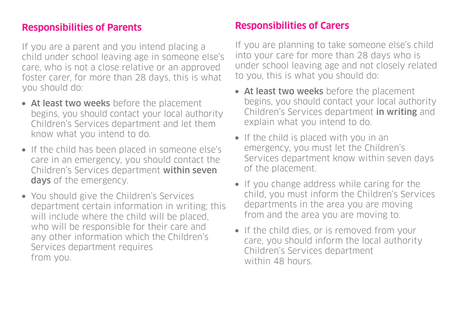# **Responsibilities of Parents**

If you are a parent and you intend placing a child under school leaving age in someone else's care, who is not a close relative or an approved foster carer, for more than 28 days, this is what you should do:

- At least two weeks before the placement begins, you should contact your local authority Children's Services department and let them know what you intend to do.
- If the child has been placed in someone else's care in an emergency, you should contact the Children's Services department within seven days of the emergency.
- You should give the Children's Services department certain information in writing; this will include where the child will be placed. who will be responsible for their care and any other information which the Children's Services department requires from you.

# **Responsibilities of Carers**

If you are planning to take someone else's child into your care for more than 28 days who is under school leaving age and not closely related to you, this is what you should do:

- At least two weeks before the placement begins, you should contact your local authority Children's Services department in writing and explain what you intend to do.
- If the child is placed with you in an emergency, you must let the Children's Services department know within seven days of the placement.
- If you change address while caring for the child, you must inform the Children's Services departments in the area you are moving from and the area you are moving to.
- If the child dies, or is removed from your care, you should inform the local authority Children's Services department within 48 hours.